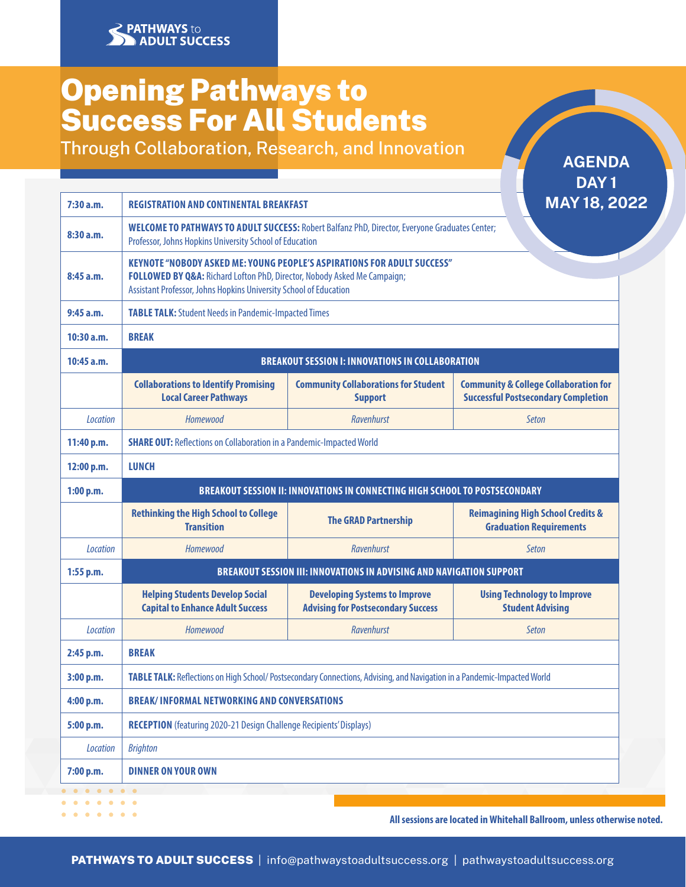# Opening Pathways to Success For All Students

**PATHWAYS** to

 $\begin{array}{cccccccccccccc} \bullet & \bullet & \bullet & \bullet & \bullet & \bullet & \bullet & \bullet \end{array}$ 

**ADULT SUCCESS** 

Through Collaboration, Research, and Innovation

DAY<sub>1</sub> MAY 18, 2022 **7:30 a.m. REGISTRATION AND CONTINENTAL BREAKFAST 8:30 a.m. WELCOME TO PATHWAYS TO ADULT SUCCESS:** Robert Balfanz PhD, Director, Everyone Graduates Center; Professor, Johns Hopkins University School of Education **KEYNOTE "NOBODY ASKED ME: YOUNG PEOPLE'S ASPIRATIONS FOR ADULT SUCCESS" 8:45 a.m. FOLLOWED BY Q&A:** Richard Lofton PhD, Director, Nobody Asked Me Campaign; Assistant Professor, Johns Hopkins University School of Education **9:45 a.m. TABLE TALK:** Student Needs in Pandemic-Impacted Times **10:30 a.m. BREAK 10:45 a.m. BREAKOUT SESSION I: INNOVATIONS IN COLLABORATION Collaborations to Identify Promising Community Collaborations for Student Community & College Collaboration for Local Career Pathways Support Successful Postsecondary Completion** *Location Homewood Ravenhurst Seton* **11:40 p.m.** SHARE OUT: Reflections on Collaboration in a Pandemic-Impacted World **12:00 p.m. LUNCH 1:00 p.m. BREAKOUT SESSION II: INNOVATIONS IN CONNECTING HIGH SCHOOL TO POSTSECONDARY Rethinking the High School to College Transition The GRAD Partnership Reimagining High School Credits & Graduation Requirements** *Location Homewood Ravenhurst Seton* **1:55 p.m. BREAKOUT SESSION III: INNOVATIONS IN ADVISING AND NAVIGATION SUPPORT Helping Students Develop Social Developing Systems to Improve Using Technology to Improve Capital to Enhance Adult Success Advising for Postsecondary Success Student Advising** *Location Homewood Ravenhurst Seton* **2:45 p.m. BREAK 3:00 p.m. TABLE TALK:** Reflections on High School/ Postsecondary Connections, Advising, and Navigation in a Pandemic-Impacted World **4:00 p.m. BREAK/ INFORMAL NETWORKING AND CONVERSATIONS 5:00 p.m. <b>RECEPTION** (featuring 2020-21 Design Challenge Recipients' Displays) *Location Brighton* **7:00 p.m. DINNER ON YOUR OWN**  $\begin{array}{cccccccccccccc} \bullet & \bullet & \bullet & \bullet & \bullet & \bullet & \bullet \end{array}$  $-1 - 1 - 1 - 1 - 1$ 

**All sessions are located in Whitehall Ballroom, unless otherwise noted.**

AGENDA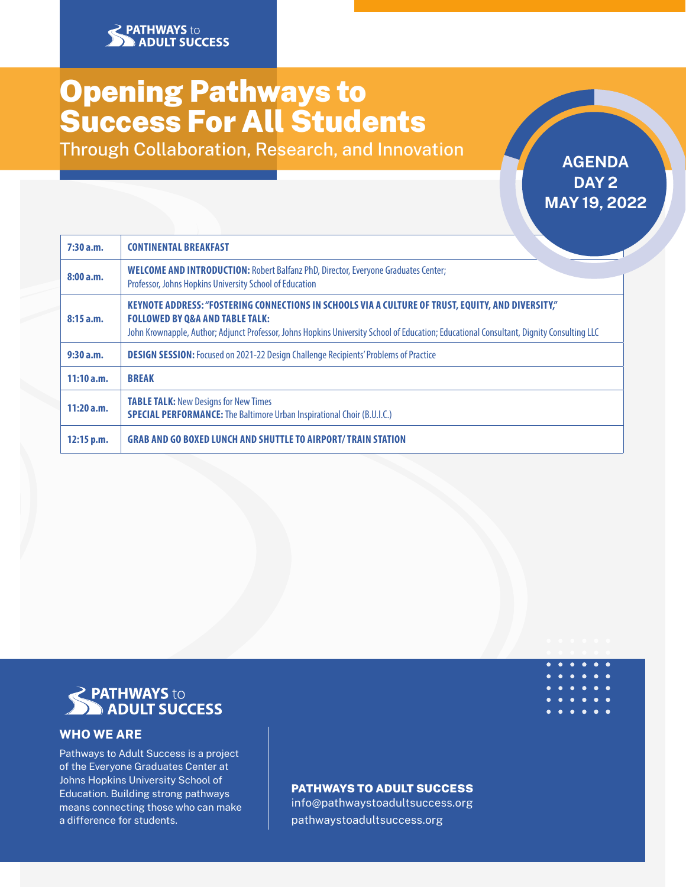# Opening Pathways to Success For All Students

Through Collaboration, Research, and Innovation **AGENDA** 

# DAY<sub>2</sub> MAY 19, 2022

| 7:30a.m.   | <b>CONTINENTAL BREAKFAST</b>                                                                                                                                                                                                                                                                 |
|------------|----------------------------------------------------------------------------------------------------------------------------------------------------------------------------------------------------------------------------------------------------------------------------------------------|
| 8:00a.m.   | <b>WELCOME AND INTRODUCTION: Robert Balfanz PhD, Director, Everyone Graduates Center;</b><br>Professor, Johns Hopkins University School of Education                                                                                                                                         |
| 8:15a.m.   | KEYNOTE ADDRESS: "FOSTERING CONNECTIONS IN SCHOOLS VIA A CULTURE OF TRUST, EQUITY, AND DIVERSITY,"<br><b>FOLLOWED BY Q&amp;A AND TABLE TALK:</b><br>John Krownapple, Author; Adjunct Professor, Johns Hopkins University School of Education; Educational Consultant, Dignity Consulting LLC |
| 9:30a.m.   | <b>DESIGN SESSION:</b> Focused on 2021-22 Design Challenge Recipients' Problems of Practice                                                                                                                                                                                                  |
| 11:10a.m.  | <b>BREAK</b>                                                                                                                                                                                                                                                                                 |
| 11:20a.m.  | <b>TABLE TALK: New Designs for New Times</b><br><b>SPECIAL PERFORMANCE:</b> The Baltimore Urban Inspirational Choir (B.U.I.C.)                                                                                                                                                               |
| 12:15 p.m. | <b>GRAB AND GO BOXED LUNCH AND SHUTTLE TO AIRPORT/TRAIN STATION</b>                                                                                                                                                                                                                          |



## WHO WE ARE

Pathways to Adult Success is a project of the Everyone Graduates Center at Johns Hopkins University School of Education. Building strong pathways means connecting those who can make a difference for students.

# PATHWAYS TO ADULT SUCCESS

info@pathwaystoadultsuccess.org pathwaystoadultsuccess.org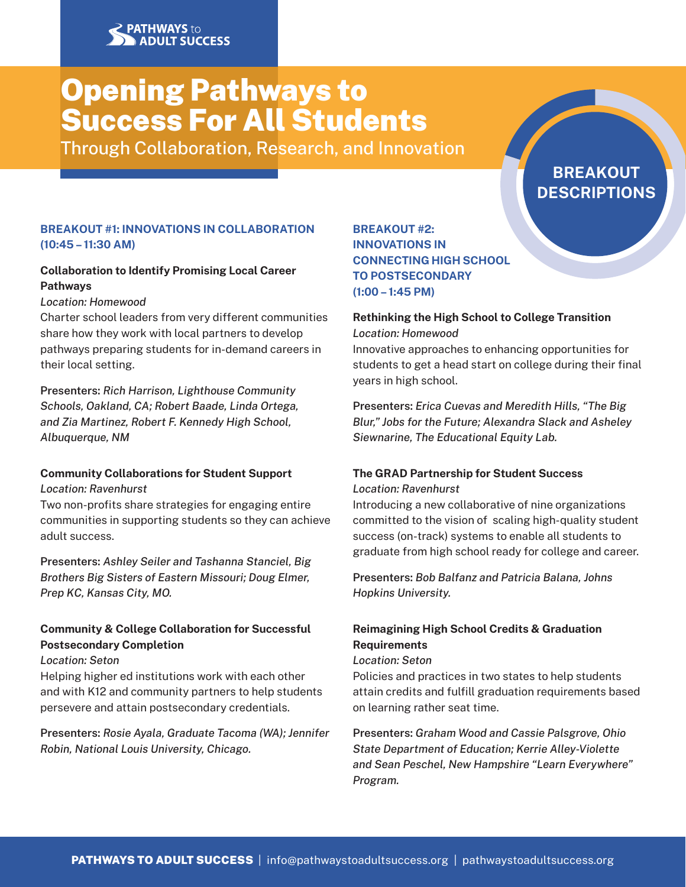# Opening Pathways to Success For All Students

Through Collaboration, Research, and Innovation

# **BREAKOUT DESCRIPTIONS**

# BREAKOUT #1: INNOVATIONS IN COLLABORATION (10:45 – 11:30 AM)

# Collaboration to Identify Promising Local Career Pathways

### *Location: Homewood*

Charter school leaders from very different communities share how they work with local partners to develop pathways preparing students for in-demand careers in their local setting.

Presenters: *Rich Harrison, Lighthouse Community Schools, Oakland, CA; Robert Baade, Linda Ortega, and Zia Martinez, Robert F. Kennedy High School, Albuquerque, NM*

#### Community Collaborations for Student Support *Location: Ravenhurst*

Two non-profits share strategies for engaging entire communities in supporting students so they can achieve adult success.

Presenters: *Ashley Seiler and Tashanna Stanciel, Big Brothers Big Sisters of Eastern Missouri; Doug Elmer, Prep KC, Kansas City, MO.*

# Community & College Collaboration for Successful Postsecondary Completion

#### *Location: Seton*

Helping higher ed institutions work with each other and with K12 and community partners to help students persevere and attain postsecondary credentials.

Presenters: *Rosie Ayala, Graduate Tacoma (WA); Jennifer Robin, National Louis University, Chicago.*

# BREAKOUT #2: INNOVATIONS IN CONNECTING HIGH SCHOOL TO POSTSECONDARY (1:00 – 1:45 PM)

### Rethinking the High School to College Transition *Location: Homewood*

Innovative approaches to enhancing opportunities for students to get a head start on college during their final years in high school.

Presenters: *Erica Cuevas and Meredith Hills, "The Big Blur," Jobs for the Future; Alexandra Slack and Asheley Siewnarine, The Educational Equity Lab.*

#### The GRAD Partnership for Student Success *Location: Ravenhurst*

Introducing a new collaborative of nine organizations committed to the vision of scaling high-quality student success (on-track) systems to enable all students to graduate from high school ready for college and career.

Presenters: *Bob Balfanz and Patricia Balana, Johns Hopkins University.*

# Reimagining High School Credits & Graduation **Requirements**

#### *Location: Seton*

Policies and practices in two states to help students attain credits and fulfill graduation requirements based on learning rather seat time.

Presenters: *Graham Wood and Cassie Palsgrove, Ohio State Department of Education; Kerrie Alley-Violette and Sean Peschel, New Hampshire "Learn Everywhere" Program.*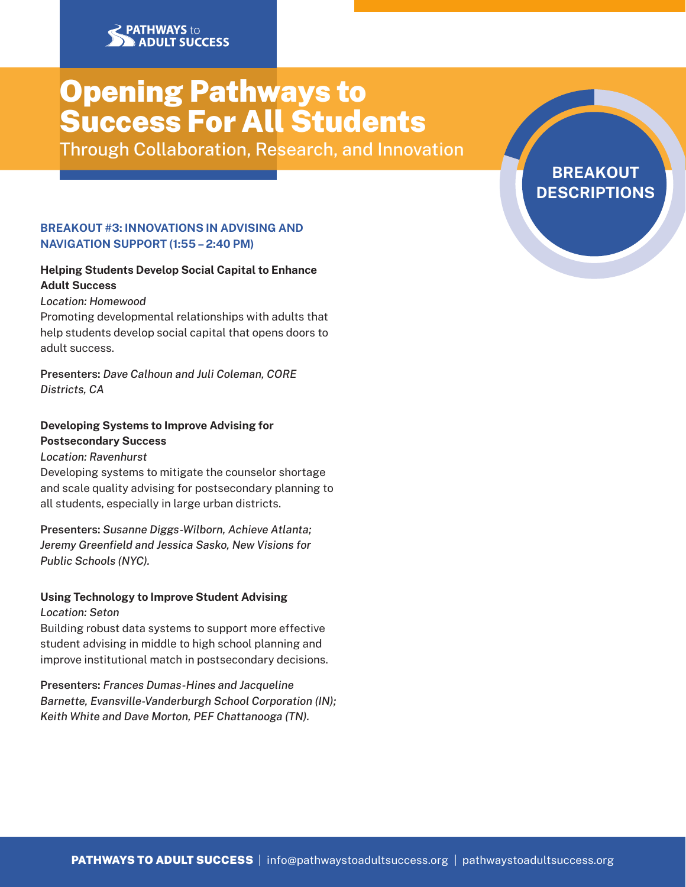# Opening Pathways to Success For All Students

Through Collaboration, Research, and Innovation

### BREAKOUT #3: INNOVATIONS IN ADVISING AND NAVIGATION SUPPORT (1:55 – 2:40 PM)

# Helping Students Develop Social Capital to Enhance Adult Success

#### *Location: Homewood*

Promoting developmental relationships with adults that help students develop social capital that opens doors to adult success.

Presenters: *Dave Calhoun and Juli Coleman, CORE Districts, CA*

#### Developing Systems to Improve Advising for Postsecondary Success

# *Location: Ravenhurst*

Developing systems to mitigate the counselor shortage and scale quality advising for postsecondary planning to all students, especially in large urban districts.

Presenters: *Susanne Diggs-Wilborn, Achieve Atlanta; Jeremy Greenfield and Jessica Sasko, New Visions for Public Schools (NYC).*

# Using Technology to Improve Student Advising

#### *Location: Seton*

Building robust data systems to support more effective student advising in middle to high school planning and improve institutional match in postsecondary decisions.

Presenters: *Frances Dumas-Hines and Jacqueline Barnette, Evansville-Vanderburgh School Corporation (IN); Keith White and Dave Morton, PEF Chattanooga (TN).*

BREAKOUT **DESCRIPTIONS**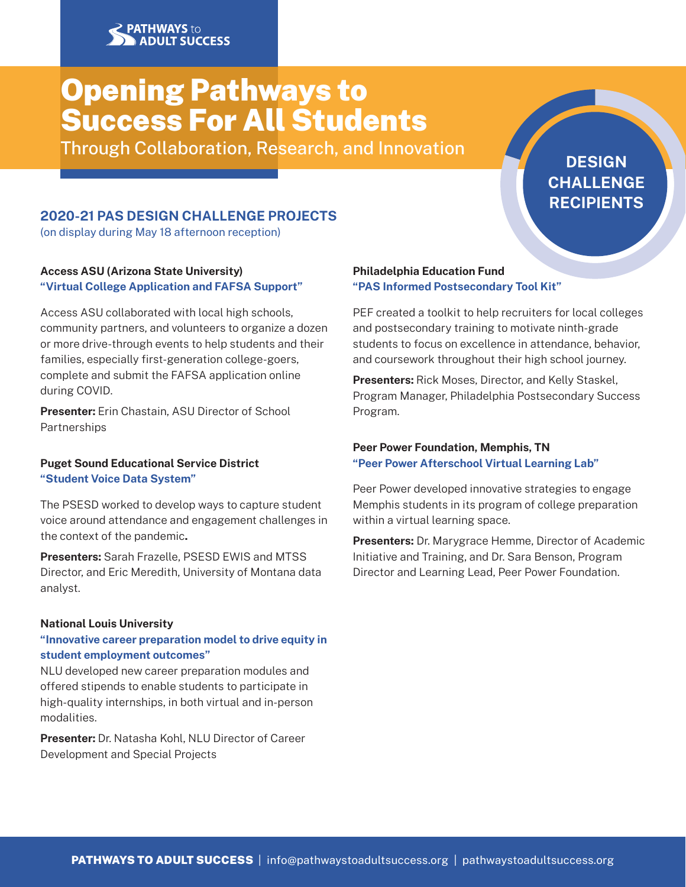# Opening Pathways to Success For All Students

Through Collaboration, Research, and Innovation

# **DESIGN CHALLENGE** RECIPIENTS

# 2020-21 PAS DESIGN CHALLENGE PROJECTS

(on display during May 18 afternoon reception)

### Access ASU (Arizona State University) "Virtual College Application and FAFSA Support"

Access ASU collaborated with local high schools, community partners, and volunteers to organize a dozen or more drive-through events to help students and their families, especially first-generation college-goers, complete and submit the FAFSA application online during COVID.

Presenter: Erin Chastain, ASU Director of School Partnerships

### Puget Sound Educational Service District "Student Voice Data System"

The PSESD worked to develop ways to capture student voice around attendance and engagement challenges in the context of the pandemic.

Presenters: Sarah Frazelle, PSESD EWIS and MTSS Director, and Eric Meredith, University of Montana data analyst.

#### National Louis University

### "Innovative career preparation model to drive equity in student employment outcomes"

NLU developed new career preparation modules and offered stipends to enable students to participate in high-quality internships, in both virtual and in-person modalities.

Presenter: Dr. Natasha Kohl, NLU Director of Career Development and Special Projects

#### Philadelphia Education Fund "PAS Informed Postsecondary Tool Kit"

PEF created a toolkit to help recruiters for local colleges and postsecondary training to motivate ninth-grade students to focus on excellence in attendance, behavior, and coursework throughout their high school journey.

Presenters: Rick Moses, Director, and Kelly Staskel, Program Manager, Philadelphia Postsecondary Success Program.

### Peer Power Foundation, Memphis, TN "Peer Power Afterschool Virtual Learning Lab"

Peer Power developed innovative strategies to engage Memphis students in its program of college preparation within a virtual learning space.

Presenters: Dr. Marygrace Hemme, Director of Academic Initiative and Training, and Dr. Sara Benson, Program Director and Learning Lead, Peer Power Foundation.